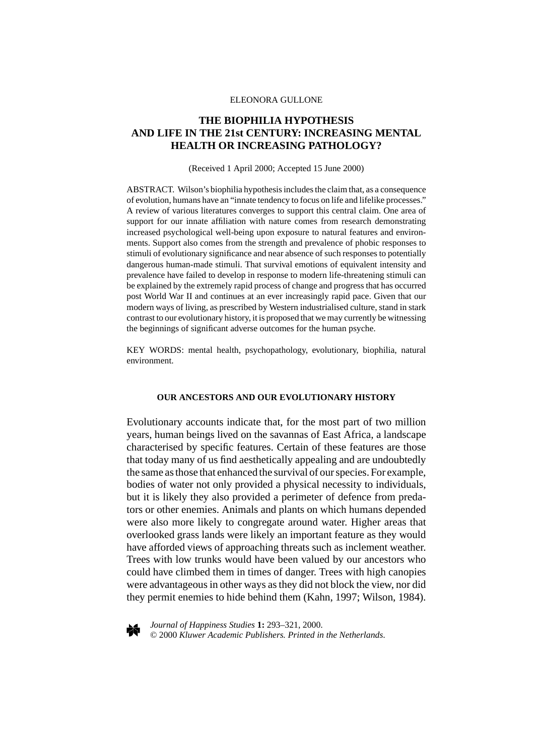# **THE BIOPHILIA HYPOTHESIS AND LIFE IN THE 21st CENTURY: INCREASING MENTAL HEALTH OR INCREASING PATHOLOGY?**

(Received 1 April 2000; Accepted 15 June 2000)

ABSTRACT. Wilson's biophilia hypothesis includes the claim that, as a consequence of evolution, humans have an "innate tendency to focus on life and lifelike processes." A review of various literatures converges to support this central claim. One area of support for our innate affiliation with nature comes from research demonstrating increased psychological well-being upon exposure to natural features and environments. Support also comes from the strength and prevalence of phobic responses to stimuli of evolutionary significance and near absence of such responses to potentially dangerous human-made stimuli. That survival emotions of equivalent intensity and prevalence have failed to develop in response to modern life-threatening stimuli can be explained by the extremely rapid process of change and progress that has occurred post World War II and continues at an ever increasingly rapid pace. Given that our modern ways of living, as prescribed by Western industrialised culture, stand in stark contrast to our evolutionary history, it is proposed that we may currently be witnessing the beginnings of significant adverse outcomes for the human psyche.

KEY WORDS: mental health, psychopathology, evolutionary, biophilia, natural environment.

## **OUR ANCESTORS AND OUR EVOLUTIONARY HISTORY**

Evolutionary accounts indicate that, for the most part of two million years, human beings lived on the savannas of East Africa, a landscape characterised by specific features. Certain of these features are those that today many of us find aesthetically appealing and are undoubtedly the same as those that enhanced the survival of our species. For example, bodies of water not only provided a physical necessity to individuals, but it is likely they also provided a perimeter of defence from predators or other enemies. Animals and plants on which humans depended were also more likely to congregate around water. Higher areas that overlooked grass lands were likely an important feature as they would have afforded views of approaching threats such as inclement weather. Trees with low trunks would have been valued by our ancestors who could have climbed them in times of danger. Trees with high canopies were advantageous in other ways as they did not block the view, nor did they permit enemies to hide behind them (Kahn, 1997; Wilson, 1984).



*Journal of Happiness Studies* **1:** 293–321, 2000. © 2000 *Kluwer Academic Publishers. Printed in the Netherlands*.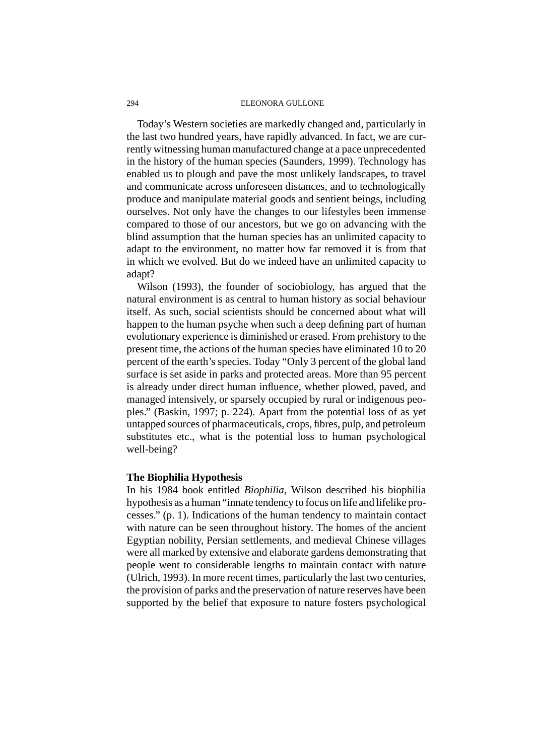Today's Western societies are markedly changed and, particularly in the last two hundred years, have rapidly advanced. In fact, we are currently witnessing human manufactured change at a pace unprecedented in the history of the human species (Saunders, 1999). Technology has enabled us to plough and pave the most unlikely landscapes, to travel and communicate across unforeseen distances, and to technologically produce and manipulate material goods and sentient beings, including ourselves. Not only have the changes to our lifestyles been immense compared to those of our ancestors, but we go on advancing with the blind assumption that the human species has an unlimited capacity to adapt to the environment, no matter how far removed it is from that in which we evolved. But do we indeed have an unlimited capacity to adapt?

Wilson (1993), the founder of sociobiology, has argued that the natural environment is as central to human history as social behaviour itself. As such, social scientists should be concerned about what will happen to the human psyche when such a deep defining part of human evolutionary experience is diminished or erased. From prehistory to the present time, the actions of the human species have eliminated 10 to 20 percent of the earth's species. Today "Only 3 percent of the global land surface is set aside in parks and protected areas. More than 95 percent is already under direct human influence, whether plowed, paved, and managed intensively, or sparsely occupied by rural or indigenous peoples." (Baskin, 1997; p. 224). Apart from the potential loss of as yet untapped sources of pharmaceuticals, crops, fibres, pulp, and petroleum substitutes etc., what is the potential loss to human psychological well-being?

## **The Biophilia Hypothesis**

In his 1984 book entitled *Biophilia*, Wilson described his biophilia hypothesis as a human "innate tendency to focus on life and lifelike processes." (p. 1). Indications of the human tendency to maintain contact with nature can be seen throughout history. The homes of the ancient Egyptian nobility, Persian settlements, and medieval Chinese villages were all marked by extensive and elaborate gardens demonstrating that people went to considerable lengths to maintain contact with nature (Ulrich, 1993). In more recent times, particularly the last two centuries, the provision of parks and the preservation of nature reserves have been supported by the belief that exposure to nature fosters psychological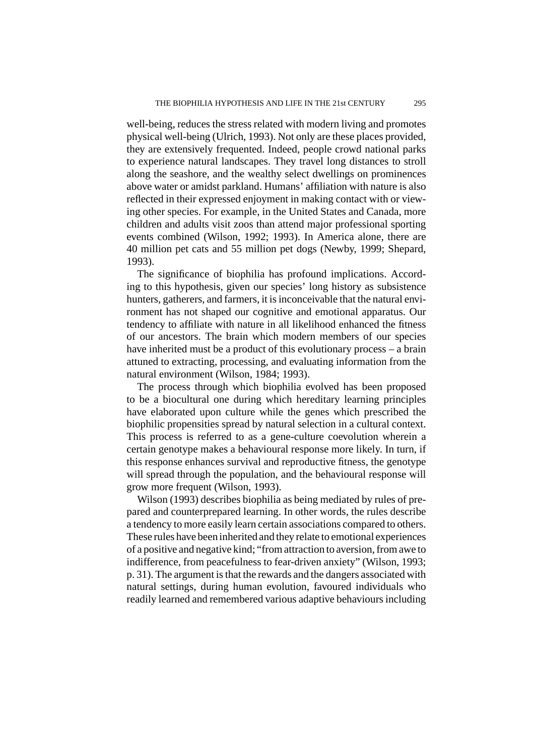well-being, reduces the stress related with modern living and promotes physical well-being (Ulrich, 1993). Not only are these places provided, they are extensively frequented. Indeed, people crowd national parks to experience natural landscapes. They travel long distances to stroll along the seashore, and the wealthy select dwellings on prominences above water or amidst parkland. Humans' affiliation with nature is also reflected in their expressed enjoyment in making contact with or viewing other species. For example, in the United States and Canada, more children and adults visit zoos than attend major professional sporting events combined (Wilson, 1992; 1993). In America alone, there are 40 million pet cats and 55 million pet dogs (Newby, 1999; Shepard, 1993).

The significance of biophilia has profound implications. According to this hypothesis, given our species' long history as subsistence hunters, gatherers, and farmers, it is inconceivable that the natural environment has not shaped our cognitive and emotional apparatus. Our tendency to affiliate with nature in all likelihood enhanced the fitness of our ancestors. The brain which modern members of our species have inherited must be a product of this evolutionary process – a brain attuned to extracting, processing, and evaluating information from the natural environment (Wilson, 1984; 1993).

The process through which biophilia evolved has been proposed to be a biocultural one during which hereditary learning principles have elaborated upon culture while the genes which prescribed the biophilic propensities spread by natural selection in a cultural context. This process is referred to as a gene-culture coevolution wherein a certain genotype makes a behavioural response more likely. In turn, if this response enhances survival and reproductive fitness, the genotype will spread through the population, and the behavioural response will grow more frequent (Wilson, 1993).

Wilson (1993) describes biophilia as being mediated by rules of prepared and counterprepared learning. In other words, the rules describe a tendency to more easily learn certain associations compared to others. These rules have been inherited and they relate to emotional experiences of a positive and negative kind; "from attraction to aversion, from awe to indifference, from peacefulness to fear-driven anxiety" (Wilson, 1993; p. 31). The argument is that the rewards and the dangers associated with natural settings, during human evolution, favoured individuals who readily learned and remembered various adaptive behaviours including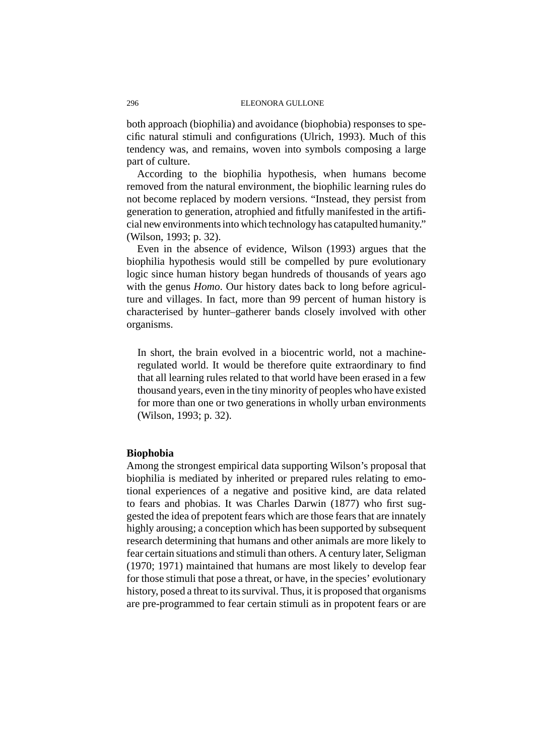both approach (biophilia) and avoidance (biophobia) responses to specific natural stimuli and configurations (Ulrich, 1993). Much of this tendency was, and remains, woven into symbols composing a large part of culture.

According to the biophilia hypothesis, when humans become removed from the natural environment, the biophilic learning rules do not become replaced by modern versions. "Instead, they persist from generation to generation, atrophied and fitfully manifested in the artificial new environments into which technology has catapulted humanity." (Wilson, 1993; p. 32).

Even in the absence of evidence, Wilson (1993) argues that the biophilia hypothesis would still be compelled by pure evolutionary logic since human history began hundreds of thousands of years ago with the genus *Homo*. Our history dates back to long before agriculture and villages. In fact, more than 99 percent of human history is characterised by hunter–gatherer bands closely involved with other organisms.

In short, the brain evolved in a biocentric world, not a machineregulated world. It would be therefore quite extraordinary to find that all learning rules related to that world have been erased in a few thousand years, even in the tiny minority of peoples who have existed for more than one or two generations in wholly urban environments (Wilson, 1993; p. 32).

## **Biophobia**

Among the strongest empirical data supporting Wilson's proposal that biophilia is mediated by inherited or prepared rules relating to emotional experiences of a negative and positive kind, are data related to fears and phobias. It was Charles Darwin (1877) who first suggested the idea of prepotent fears which are those fears that are innately highly arousing; a conception which has been supported by subsequent research determining that humans and other animals are more likely to fear certain situations and stimuli than others. A century later, Seligman (1970; 1971) maintained that humans are most likely to develop fear for those stimuli that pose a threat, or have, in the species' evolutionary history, posed a threat to its survival. Thus, it is proposed that organisms are pre-programmed to fear certain stimuli as in propotent fears or are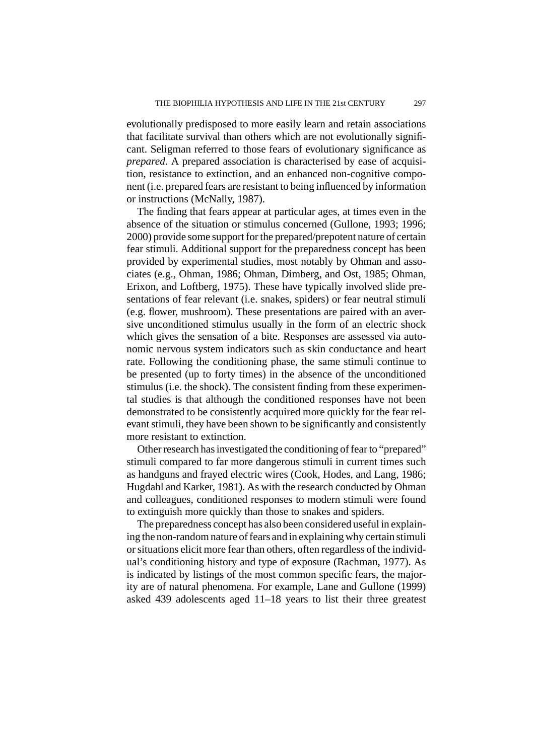evolutionally predisposed to more easily learn and retain associations that facilitate survival than others which are not evolutionally significant. Seligman referred to those fears of evolutionary significance as *prepared*. A prepared association is characterised by ease of acquisition, resistance to extinction, and an enhanced non-cognitive component (i.e. prepared fears are resistant to being influenced by information or instructions (McNally, 1987).

The finding that fears appear at particular ages, at times even in the absence of the situation or stimulus concerned (Gullone, 1993; 1996; 2000) provide some support for the prepared/prepotent nature of certain fear stimuli. Additional support for the preparedness concept has been provided by experimental studies, most notably by Ohman and associates (e.g., Ohman, 1986; Ohman, Dimberg, and Ost, 1985; Ohman, Erixon, and Loftberg, 1975). These have typically involved slide presentations of fear relevant (i.e. snakes, spiders) or fear neutral stimuli (e.g. flower, mushroom). These presentations are paired with an aversive unconditioned stimulus usually in the form of an electric shock which gives the sensation of a bite. Responses are assessed via autonomic nervous system indicators such as skin conductance and heart rate. Following the conditioning phase, the same stimuli continue to be presented (up to forty times) in the absence of the unconditioned stimulus (i.e. the shock). The consistent finding from these experimental studies is that although the conditioned responses have not been demonstrated to be consistently acquired more quickly for the fear relevant stimuli, they have been shown to be significantly and consistently more resistant to extinction.

Other research has investigated the conditioning of fear to "prepared" stimuli compared to far more dangerous stimuli in current times such as handguns and frayed electric wires (Cook, Hodes, and Lang, 1986; Hugdahl and Karker, 1981). As with the research conducted by Ohman and colleagues, conditioned responses to modern stimuli were found to extinguish more quickly than those to snakes and spiders.

The preparedness concept has also been considered useful in explaining the non-random nature of fears and in explaining why certain stimuli or situations elicit more fear than others, often regardless of the individual's conditioning history and type of exposure (Rachman, 1977). As is indicated by listings of the most common specific fears, the majority are of natural phenomena. For example, Lane and Gullone (1999) asked 439 adolescents aged 11–18 years to list their three greatest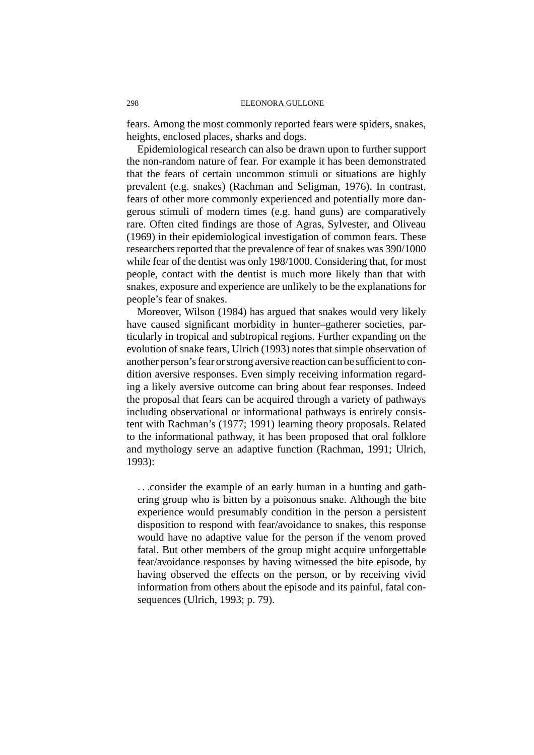fears. Among the most commonly reported fears were spiders, snakes, heights, enclosed places, sharks and dogs.

Epidemiological research can also be drawn upon to further support the non-random nature of fear. For example it has been demonstrated that the fears of certain uncommon stimuli or situations are highly prevalent (e.g. snakes) (Rachman and Seligman, 1976). In contrast, fears of other more commonly experienced and potentially more dangerous stimuli of modern times (e.g. hand guns) are comparatively rare. Often cited findings are those of Agras, Sylvester, and Oliveau (1969) in their epidemiological investigation of common fears. These researchers reported that the prevalence of fear of snakes was 390/1000 while fear of the dentist was only 198/1000. Considering that, for most people, contact with the dentist is much more likely than that with snakes, exposure and experience are unlikely to be the explanations for people's fear of snakes.

Moreover, Wilson (1984) has argued that snakes would very likely have caused significant morbidity in hunter–gatherer societies, particularly in tropical and subtropical regions. Further expanding on the evolution of snake fears, Ulrich (1993) notes that simple observation of another person's fear or strong aversive reaction can be sufficient to condition aversive responses. Even simply receiving information regarding a likely aversive outcome can bring about fear responses. Indeed the proposal that fears can be acquired through a variety of pathways including observational or informational pathways is entirely consistent with Rachman's (1977; 1991) learning theory proposals. Related to the informational pathway, it has been proposed that oral folklore and mythology serve an adaptive function (Rachman, 1991; Ulrich, 1993):

...consider the example of an early human in a hunting and gathering group who is bitten by a poisonous snake. Although the bite experience would presumably condition in the person a persistent disposition to respond with fear/avoidance to snakes, this response would have no adaptive value for the person if the venom proved fatal. But other members of the group might acquire unforgettable fear/avoidance responses by having witnessed the bite episode, by having observed the effects on the person, or by receiving vivid information from others about the episode and its painful, fatal consequences (Ulrich, 1993; p. 79).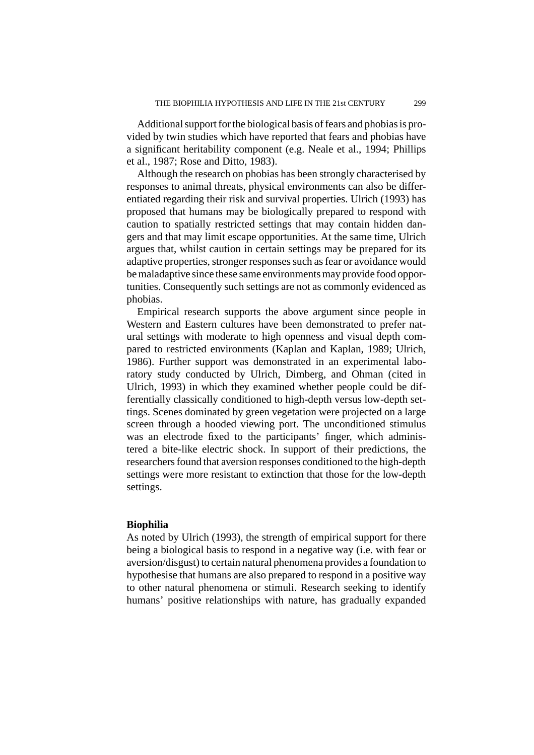Additional support for the biological basis of fears and phobias is provided by twin studies which have reported that fears and phobias have a significant heritability component (e.g. Neale et al., 1994; Phillips et al., 1987; Rose and Ditto, 1983).

Although the research on phobias has been strongly characterised by responses to animal threats, physical environments can also be differentiated regarding their risk and survival properties. Ulrich (1993) has proposed that humans may be biologically prepared to respond with caution to spatially restricted settings that may contain hidden dangers and that may limit escape opportunities. At the same time, Ulrich argues that, whilst caution in certain settings may be prepared for its adaptive properties, stronger responses such as fear or avoidance would be maladaptive since these same environments may provide food opportunities. Consequently such settings are not as commonly evidenced as phobias.

Empirical research supports the above argument since people in Western and Eastern cultures have been demonstrated to prefer natural settings with moderate to high openness and visual depth compared to restricted environments (Kaplan and Kaplan, 1989; Ulrich, 1986). Further support was demonstrated in an experimental laboratory study conducted by Ulrich, Dimberg, and Ohman (cited in Ulrich, 1993) in which they examined whether people could be differentially classically conditioned to high-depth versus low-depth settings. Scenes dominated by green vegetation were projected on a large screen through a hooded viewing port. The unconditioned stimulus was an electrode fixed to the participants' finger, which administered a bite-like electric shock. In support of their predictions, the researchers found that aversion responses conditioned to the high-depth settings were more resistant to extinction that those for the low-depth settings.

## **Biophilia**

As noted by Ulrich (1993), the strength of empirical support for there being a biological basis to respond in a negative way (i.e. with fear or aversion/disgust) to certain natural phenomena provides a foundation to hypothesise that humans are also prepared to respond in a positive way to other natural phenomena or stimuli. Research seeking to identify humans' positive relationships with nature, has gradually expanded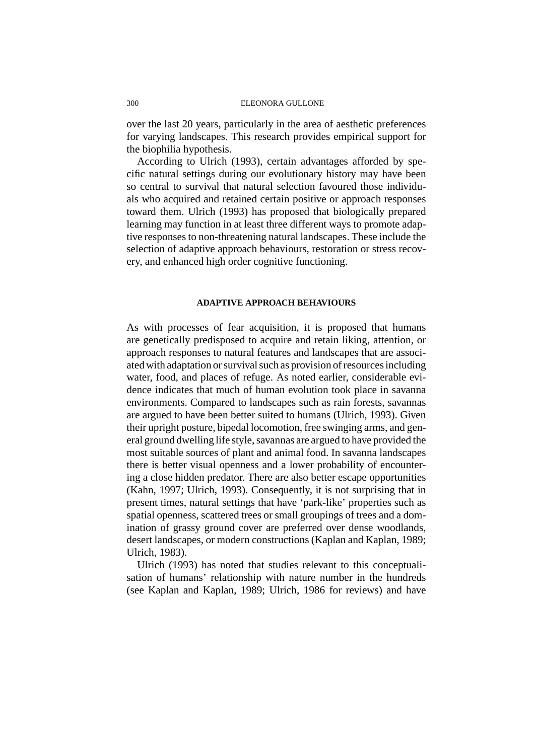over the last 20 years, particularly in the area of aesthetic preferences for varying landscapes. This research provides empirical support for the biophilia hypothesis.

According to Ulrich (1993), certain advantages afforded by specific natural settings during our evolutionary history may have been so central to survival that natural selection favoured those individuals who acquired and retained certain positive or approach responses toward them. Ulrich (1993) has proposed that biologically prepared learning may function in at least three different ways to promote adaptive responses to non-threatening natural landscapes. These include the selection of adaptive approach behaviours, restoration or stress recovery, and enhanced high order cognitive functioning.

### **ADAPTIVE APPROACH BEHAVIOURS**

As with processes of fear acquisition, it is proposed that humans are genetically predisposed to acquire and retain liking, attention, or approach responses to natural features and landscapes that are associated with adaptation or survival such as provision of resources including water, food, and places of refuge. As noted earlier, considerable evidence indicates that much of human evolution took place in savanna environments. Compared to landscapes such as rain forests, savannas are argued to have been better suited to humans (Ulrich, 1993). Given their upright posture, bipedal locomotion, free swinging arms, and general ground dwelling life style, savannas are argued to have provided the most suitable sources of plant and animal food. In savanna landscapes there is better visual openness and a lower probability of encountering a close hidden predator. There are also better escape opportunities (Kahn, 1997; Ulrich, 1993). Consequently, it is not surprising that in present times, natural settings that have 'park-like' properties such as spatial openness, scattered trees or small groupings of trees and a domination of grassy ground cover are preferred over dense woodlands, desert landscapes, or modern constructions (Kaplan and Kaplan, 1989; Ulrich, 1983).

Ulrich (1993) has noted that studies relevant to this conceptualisation of humans' relationship with nature number in the hundreds (see Kaplan and Kaplan, 1989; Ulrich, 1986 for reviews) and have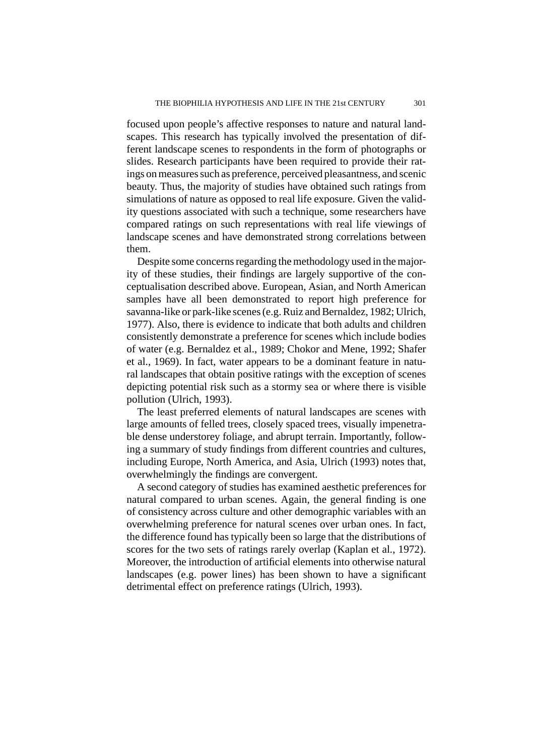focused upon people's affective responses to nature and natural landscapes. This research has typically involved the presentation of different landscape scenes to respondents in the form of photographs or slides. Research participants have been required to provide their ratings on measures such as preference, perceived pleasantness, and scenic beauty. Thus, the majority of studies have obtained such ratings from simulations of nature as opposed to real life exposure. Given the validity questions associated with such a technique, some researchers have compared ratings on such representations with real life viewings of landscape scenes and have demonstrated strong correlations between them.

Despite some concerns regarding the methodology used in the majority of these studies, their findings are largely supportive of the conceptualisation described above. European, Asian, and North American samples have all been demonstrated to report high preference for savanna-like or park-like scenes (e.g. Ruiz and Bernaldez, 1982; Ulrich, 1977). Also, there is evidence to indicate that both adults and children consistently demonstrate a preference for scenes which include bodies of water (e.g. Bernaldez et al., 1989; Chokor and Mene, 1992; Shafer et al., 1969). In fact, water appears to be a dominant feature in natural landscapes that obtain positive ratings with the exception of scenes depicting potential risk such as a stormy sea or where there is visible pollution (Ulrich, 1993).

The least preferred elements of natural landscapes are scenes with large amounts of felled trees, closely spaced trees, visually impenetrable dense understorey foliage, and abrupt terrain. Importantly, following a summary of study findings from different countries and cultures, including Europe, North America, and Asia, Ulrich (1993) notes that, overwhelmingly the findings are convergent.

A second category of studies has examined aesthetic preferences for natural compared to urban scenes. Again, the general finding is one of consistency across culture and other demographic variables with an overwhelming preference for natural scenes over urban ones. In fact, the difference found has typically been so large that the distributions of scores for the two sets of ratings rarely overlap (Kaplan et al., 1972). Moreover, the introduction of artificial elements into otherwise natural landscapes (e.g. power lines) has been shown to have a significant detrimental effect on preference ratings (Ulrich, 1993).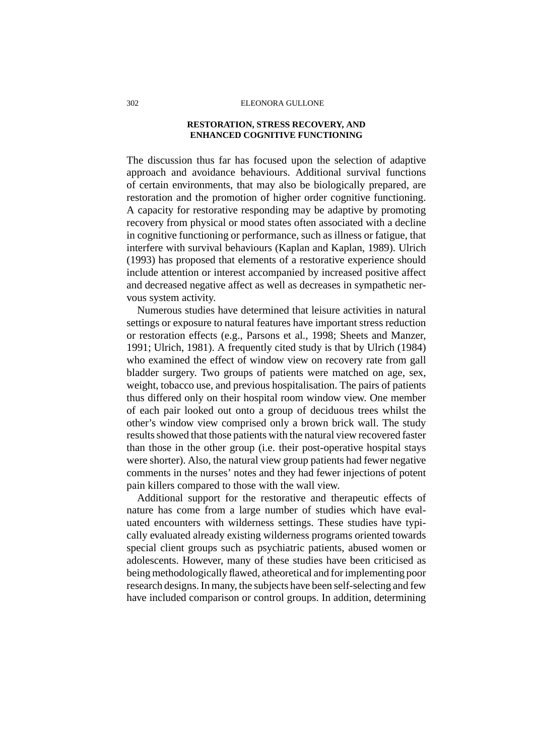## **RESTORATION, STRESS RECOVERY, AND ENHANCED COGNITIVE FUNCTIONING**

The discussion thus far has focused upon the selection of adaptive approach and avoidance behaviours. Additional survival functions of certain environments, that may also be biologically prepared, are restoration and the promotion of higher order cognitive functioning. A capacity for restorative responding may be adaptive by promoting recovery from physical or mood states often associated with a decline in cognitive functioning or performance, such as illness or fatigue, that interfere with survival behaviours (Kaplan and Kaplan, 1989). Ulrich (1993) has proposed that elements of a restorative experience should include attention or interest accompanied by increased positive affect and decreased negative affect as well as decreases in sympathetic nervous system activity.

Numerous studies have determined that leisure activities in natural settings or exposure to natural features have important stress reduction or restoration effects (e.g., Parsons et al., 1998; Sheets and Manzer, 1991; Ulrich, 1981). A frequently cited study is that by Ulrich (1984) who examined the effect of window view on recovery rate from gall bladder surgery. Two groups of patients were matched on age, sex, weight, tobacco use, and previous hospitalisation. The pairs of patients thus differed only on their hospital room window view. One member of each pair looked out onto a group of deciduous trees whilst the other's window view comprised only a brown brick wall. The study results showed that those patients with the natural view recovered faster than those in the other group (i.e. their post-operative hospital stays were shorter). Also, the natural view group patients had fewer negative comments in the nurses' notes and they had fewer injections of potent pain killers compared to those with the wall view.

Additional support for the restorative and therapeutic effects of nature has come from a large number of studies which have evaluated encounters with wilderness settings. These studies have typically evaluated already existing wilderness programs oriented towards special client groups such as psychiatric patients, abused women or adolescents. However, many of these studies have been criticised as being methodologically flawed, atheoretical and for implementing poor research designs. In many, the subjects have been self-selecting and few have included comparison or control groups. In addition, determining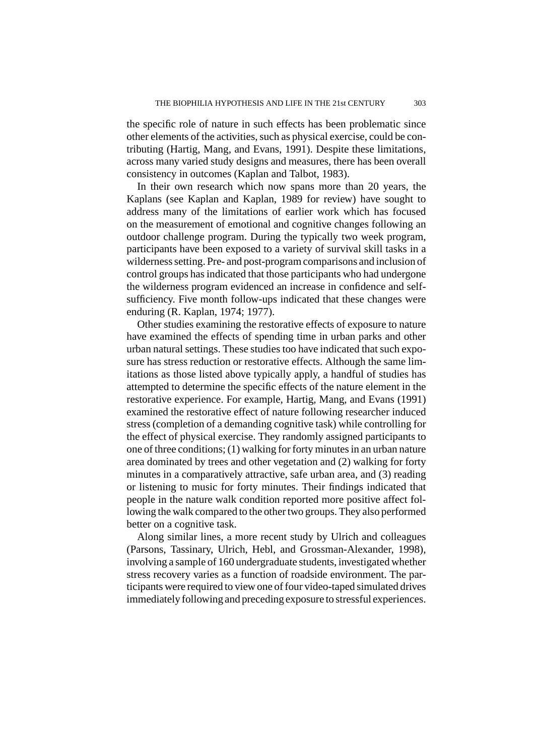the specific role of nature in such effects has been problematic since other elements of the activities, such as physical exercise, could be contributing (Hartig, Mang, and Evans, 1991). Despite these limitations, across many varied study designs and measures, there has been overall consistency in outcomes (Kaplan and Talbot, 1983).

In their own research which now spans more than 20 years, the Kaplans (see Kaplan and Kaplan, 1989 for review) have sought to address many of the limitations of earlier work which has focused on the measurement of emotional and cognitive changes following an outdoor challenge program. During the typically two week program, participants have been exposed to a variety of survival skill tasks in a wilderness setting. Pre- and post-program comparisons and inclusion of control groups has indicated that those participants who had undergone the wilderness program evidenced an increase in confidence and selfsufficiency. Five month follow-ups indicated that these changes were enduring (R. Kaplan, 1974; 1977).

Other studies examining the restorative effects of exposure to nature have examined the effects of spending time in urban parks and other urban natural settings. These studies too have indicated that such exposure has stress reduction or restorative effects. Although the same limitations as those listed above typically apply, a handful of studies has attempted to determine the specific effects of the nature element in the restorative experience. For example, Hartig, Mang, and Evans (1991) examined the restorative effect of nature following researcher induced stress (completion of a demanding cognitive task) while controlling for the effect of physical exercise. They randomly assigned participants to one of three conditions; (1) walking for forty minutes in an urban nature area dominated by trees and other vegetation and (2) walking for forty minutes in a comparatively attractive, safe urban area, and (3) reading or listening to music for forty minutes. Their findings indicated that people in the nature walk condition reported more positive affect following the walk compared to the other two groups. They also performed better on a cognitive task.

Along similar lines, a more recent study by Ulrich and colleagues (Parsons, Tassinary, Ulrich, Hebl, and Grossman-Alexander, 1998), involving a sample of 160 undergraduate students, investigated whether stress recovery varies as a function of roadside environment. The participants were required to view one of four video-taped simulated drives immediately following and preceding exposure to stressful experiences.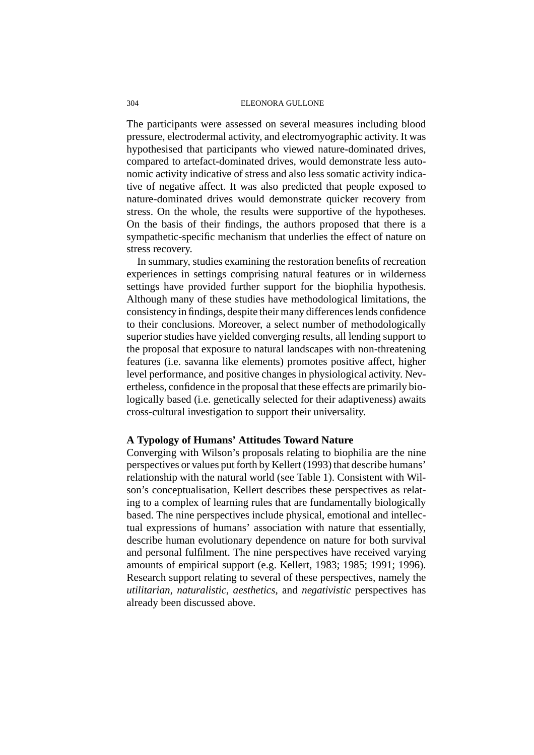The participants were assessed on several measures including blood pressure, electrodermal activity, and electromyographic activity. It was hypothesised that participants who viewed nature-dominated drives, compared to artefact-dominated drives, would demonstrate less autonomic activity indicative of stress and also less somatic activity indicative of negative affect. It was also predicted that people exposed to nature-dominated drives would demonstrate quicker recovery from stress. On the whole, the results were supportive of the hypotheses. On the basis of their findings, the authors proposed that there is a sympathetic-specific mechanism that underlies the effect of nature on stress recovery.

In summary, studies examining the restoration benefits of recreation experiences in settings comprising natural features or in wilderness settings have provided further support for the biophilia hypothesis. Although many of these studies have methodological limitations, the consistency in findings, despite their many differences lends confidence to their conclusions. Moreover, a select number of methodologically superior studies have yielded converging results, all lending support to the proposal that exposure to natural landscapes with non-threatening features (i.e. savanna like elements) promotes positive affect, higher level performance, and positive changes in physiological activity. Nevertheless, confidence in the proposal that these effects are primarily biologically based (i.e. genetically selected for their adaptiveness) awaits cross-cultural investigation to support their universality.

## **A Typology of Humans' Attitudes Toward Nature**

Converging with Wilson's proposals relating to biophilia are the nine perspectives or values put forth by Kellert (1993) that describe humans' relationship with the natural world (see Table 1). Consistent with Wilson's conceptualisation, Kellert describes these perspectives as relating to a complex of learning rules that are fundamentally biologically based. The nine perspectives include physical, emotional and intellectual expressions of humans' association with nature that essentially, describe human evolutionary dependence on nature for both survival and personal fulfilment. The nine perspectives have received varying amounts of empirical support (e.g. Kellert, 1983; 1985; 1991; 1996). Research support relating to several of these perspectives, namely the *utilitarian*, *naturalistic*, *aesthetics*, and *negativistic* perspectives has already been discussed above.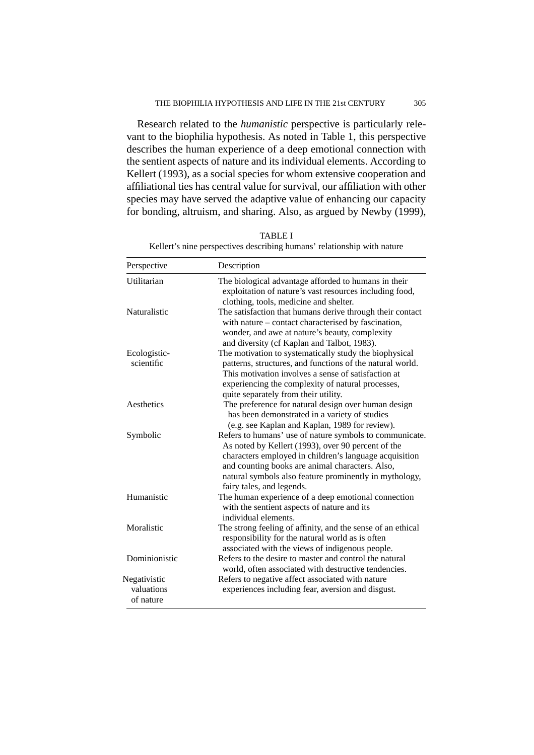Research related to the *humanistic* perspective is particularly relevant to the biophilia hypothesis. As noted in Table 1, this perspective describes the human experience of a deep emotional connection with the sentient aspects of nature and its individual elements. According to Kellert (1993), as a social species for whom extensive cooperation and affiliational ties has central value for survival, our affiliation with other species may have served the adaptive value of enhancing our capacity for bonding, altruism, and sharing. Also, as argued by Newby (1999),

| Perspective             | Description                                                                                                                                                                                                                                                                                                       |  |
|-------------------------|-------------------------------------------------------------------------------------------------------------------------------------------------------------------------------------------------------------------------------------------------------------------------------------------------------------------|--|
| Utilitarian             | The biological advantage afforded to humans in their<br>exploitation of nature's vast resources including food,<br>clothing, tools, medicine and shelter.                                                                                                                                                         |  |
| Naturalistic            | The satisfaction that humans derive through their contact<br>with nature – contact characterised by fascination,<br>wonder, and awe at nature's beauty, complexity<br>and diversity (cf Kaplan and Talbot, 1983).                                                                                                 |  |
| Ecologistic-            | The motivation to systematically study the biophysical                                                                                                                                                                                                                                                            |  |
| scientific              | patterns, structures, and functions of the natural world.<br>This motivation involves a sense of satisfaction at<br>experiencing the complexity of natural processes,<br>quite separately from their utility.                                                                                                     |  |
| Aesthetics              | The preference for natural design over human design<br>has been demonstrated in a variety of studies<br>(e.g. see Kaplan and Kaplan, 1989 for review).                                                                                                                                                            |  |
| Symbolic                | Refers to humans' use of nature symbols to communicate.<br>As noted by Kellert (1993), over 90 percent of the<br>characters employed in children's language acquisition<br>and counting books are animal characters. Also,<br>natural symbols also feature prominently in mythology,<br>fairy tales, and legends. |  |
| Humanistic              | The human experience of a deep emotional connection<br>with the sentient aspects of nature and its<br>individual elements.                                                                                                                                                                                        |  |
| Moralistic              | The strong feeling of affinity, and the sense of an ethical<br>responsibility for the natural world as is often<br>associated with the views of indigenous people.                                                                                                                                                |  |
| Dominionistic           | Refers to the desire to master and control the natural<br>world, often associated with destructive tendencies.                                                                                                                                                                                                    |  |
| Negativistic            | Refers to negative affect associated with nature                                                                                                                                                                                                                                                                  |  |
| valuations<br>of nature | experiences including fear, aversion and disgust.                                                                                                                                                                                                                                                                 |  |

| <b>TABLE I</b>                                                          |  |
|-------------------------------------------------------------------------|--|
| Kellert's nine perspectives describing humans' relationship with nature |  |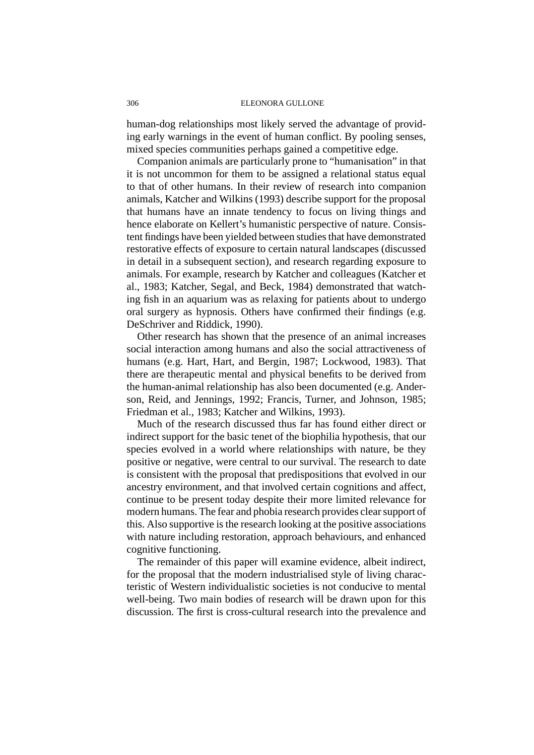human-dog relationships most likely served the advantage of providing early warnings in the event of human conflict. By pooling senses, mixed species communities perhaps gained a competitive edge.

Companion animals are particularly prone to "humanisation" in that it is not uncommon for them to be assigned a relational status equal to that of other humans. In their review of research into companion animals, Katcher and Wilkins (1993) describe support for the proposal that humans have an innate tendency to focus on living things and hence elaborate on Kellert's humanistic perspective of nature. Consistent findings have been yielded between studies that have demonstrated restorative effects of exposure to certain natural landscapes (discussed in detail in a subsequent section), and research regarding exposure to animals. For example, research by Katcher and colleagues (Katcher et al., 1983; Katcher, Segal, and Beck, 1984) demonstrated that watching fish in an aquarium was as relaxing for patients about to undergo oral surgery as hypnosis. Others have confirmed their findings (e.g. DeSchriver and Riddick, 1990).

Other research has shown that the presence of an animal increases social interaction among humans and also the social attractiveness of humans (e.g. Hart, Hart, and Bergin, 1987; Lockwood, 1983). That there are therapeutic mental and physical benefits to be derived from the human-animal relationship has also been documented (e.g. Anderson, Reid, and Jennings, 1992; Francis, Turner, and Johnson, 1985; Friedman et al., 1983; Katcher and Wilkins, 1993).

Much of the research discussed thus far has found either direct or indirect support for the basic tenet of the biophilia hypothesis, that our species evolved in a world where relationships with nature, be they positive or negative, were central to our survival. The research to date is consistent with the proposal that predispositions that evolved in our ancestry environment, and that involved certain cognitions and affect, continue to be present today despite their more limited relevance for modern humans. The fear and phobia research provides clear support of this. Also supportive is the research looking at the positive associations with nature including restoration, approach behaviours, and enhanced cognitive functioning.

The remainder of this paper will examine evidence, albeit indirect, for the proposal that the modern industrialised style of living characteristic of Western individualistic societies is not conducive to mental well-being. Two main bodies of research will be drawn upon for this discussion. The first is cross-cultural research into the prevalence and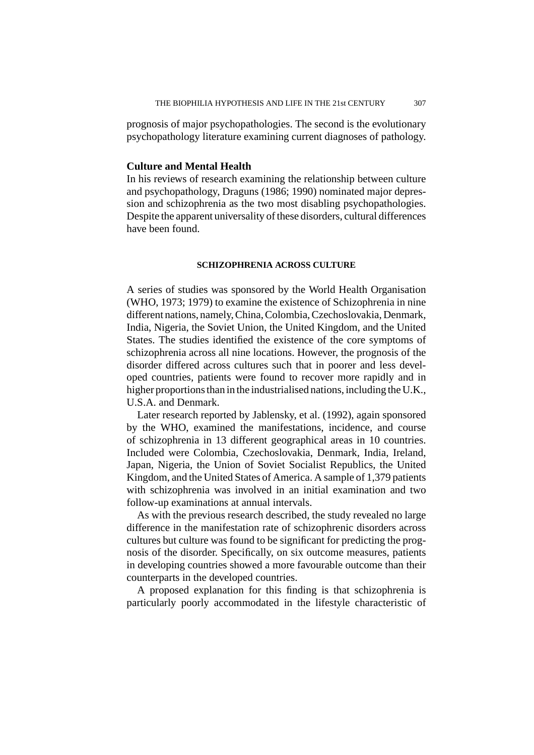prognosis of major psychopathologies. The second is the evolutionary psychopathology literature examining current diagnoses of pathology.

## **Culture and Mental Health**

In his reviews of research examining the relationship between culture and psychopathology, Draguns (1986; 1990) nominated major depression and schizophrenia as the two most disabling psychopathologies. Despite the apparent universality of these disorders, cultural differences have been found.

## **SCHIZOPHRENIA ACROSS CULTURE**

A series of studies was sponsored by the World Health Organisation (WHO, 1973; 1979) to examine the existence of Schizophrenia in nine different nations, namely, China, Colombia, Czechoslovakia, Denmark, India, Nigeria, the Soviet Union, the United Kingdom, and the United States. The studies identified the existence of the core symptoms of schizophrenia across all nine locations. However, the prognosis of the disorder differed across cultures such that in poorer and less developed countries, patients were found to recover more rapidly and in higher proportions than in the industrialised nations, including the U.K., U.S.A. and Denmark.

Later research reported by Jablensky, et al. (1992), again sponsored by the WHO, examined the manifestations, incidence, and course of schizophrenia in 13 different geographical areas in 10 countries. Included were Colombia, Czechoslovakia, Denmark, India, Ireland, Japan, Nigeria, the Union of Soviet Socialist Republics, the United Kingdom, and the United States of America. A sample of 1,379 patients with schizophrenia was involved in an initial examination and two follow-up examinations at annual intervals.

As with the previous research described, the study revealed no large difference in the manifestation rate of schizophrenic disorders across cultures but culture was found to be significant for predicting the prognosis of the disorder. Specifically, on six outcome measures, patients in developing countries showed a more favourable outcome than their counterparts in the developed countries.

A proposed explanation for this finding is that schizophrenia is particularly poorly accommodated in the lifestyle characteristic of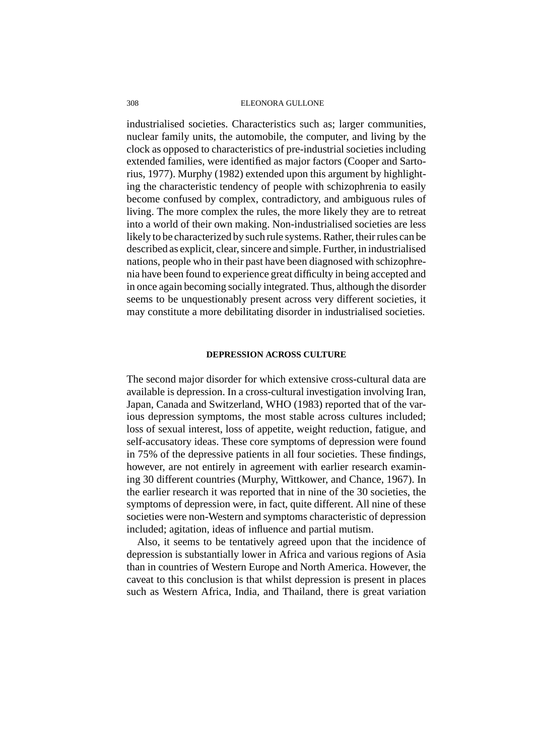industrialised societies. Characteristics such as; larger communities, nuclear family units, the automobile, the computer, and living by the clock as opposed to characteristics of pre-industrial societies including extended families, were identified as major factors (Cooper and Sartorius, 1977). Murphy (1982) extended upon this argument by highlighting the characteristic tendency of people with schizophrenia to easily become confused by complex, contradictory, and ambiguous rules of living. The more complex the rules, the more likely they are to retreat into a world of their own making. Non-industrialised societies are less likely to be characterized by such rule systems. Rather, their rules can be described as explicit, clear, sincere and simple. Further, in industrialised nations, people who in their past have been diagnosed with schizophrenia have been found to experience great difficulty in being accepted and in once again becoming socially integrated. Thus, although the disorder seems to be unquestionably present across very different societies, it may constitute a more debilitating disorder in industrialised societies.

## **DEPRESSION ACROSS CULTURE**

The second major disorder for which extensive cross-cultural data are available is depression. In a cross-cultural investigation involving Iran, Japan, Canada and Switzerland, WHO (1983) reported that of the various depression symptoms, the most stable across cultures included; loss of sexual interest, loss of appetite, weight reduction, fatigue, and self-accusatory ideas. These core symptoms of depression were found in 75% of the depressive patients in all four societies. These findings, however, are not entirely in agreement with earlier research examining 30 different countries (Murphy, Wittkower, and Chance, 1967). In the earlier research it was reported that in nine of the 30 societies, the symptoms of depression were, in fact, quite different. All nine of these societies were non-Western and symptoms characteristic of depression included; agitation, ideas of influence and partial mutism.

Also, it seems to be tentatively agreed upon that the incidence of depression is substantially lower in Africa and various regions of Asia than in countries of Western Europe and North America. However, the caveat to this conclusion is that whilst depression is present in places such as Western Africa, India, and Thailand, there is great variation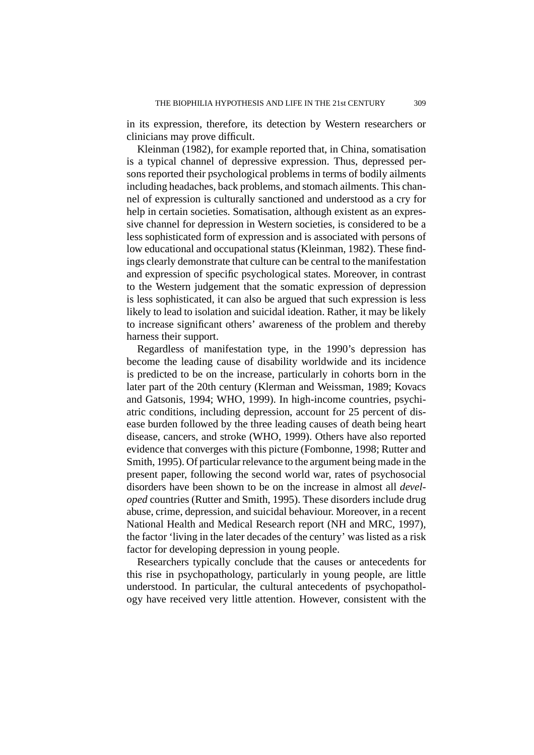in its expression, therefore, its detection by Western researchers or clinicians may prove difficult.

Kleinman (1982), for example reported that, in China, somatisation is a typical channel of depressive expression. Thus, depressed persons reported their psychological problems in terms of bodily ailments including headaches, back problems, and stomach ailments. This channel of expression is culturally sanctioned and understood as a cry for help in certain societies. Somatisation, although existent as an expressive channel for depression in Western societies, is considered to be a less sophisticated form of expression and is associated with persons of low educational and occupational status (Kleinman, 1982). These findings clearly demonstrate that culture can be central to the manifestation and expression of specific psychological states. Moreover, in contrast to the Western judgement that the somatic expression of depression is less sophisticated, it can also be argued that such expression is less likely to lead to isolation and suicidal ideation. Rather, it may be likely to increase significant others' awareness of the problem and thereby harness their support.

Regardless of manifestation type, in the 1990's depression has become the leading cause of disability worldwide and its incidence is predicted to be on the increase, particularly in cohorts born in the later part of the 20th century (Klerman and Weissman, 1989; Kovacs and Gatsonis, 1994; WHO, 1999). In high-income countries, psychiatric conditions, including depression, account for 25 percent of disease burden followed by the three leading causes of death being heart disease, cancers, and stroke (WHO, 1999). Others have also reported evidence that converges with this picture (Fombonne, 1998; Rutter and Smith, 1995). Of particular relevance to the argument being made in the present paper, following the second world war, rates of psychosocial disorders have been shown to be on the increase in almost all *developed* countries (Rutter and Smith, 1995). These disorders include drug abuse, crime, depression, and suicidal behaviour. Moreover, in a recent National Health and Medical Research report (NH and MRC, 1997), the factor 'living in the later decades of the century' was listed as a risk factor for developing depression in young people.

Researchers typically conclude that the causes or antecedents for this rise in psychopathology, particularly in young people, are little understood. In particular, the cultural antecedents of psychopathology have received very little attention. However, consistent with the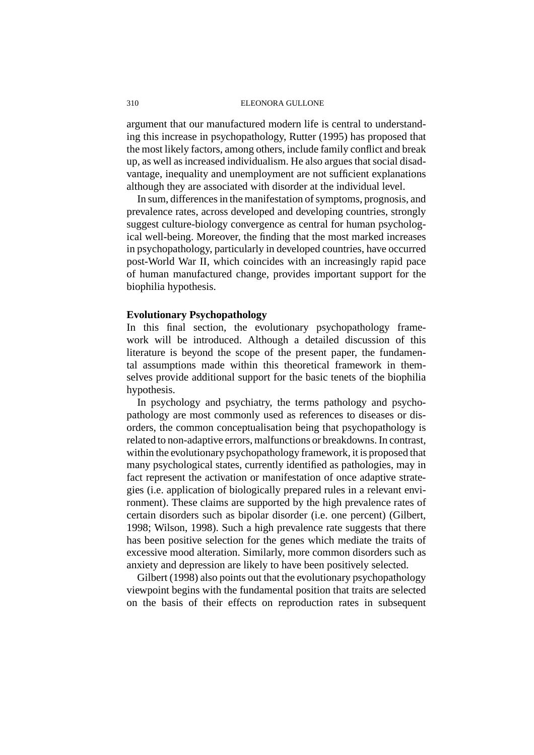argument that our manufactured modern life is central to understanding this increase in psychopathology, Rutter (1995) has proposed that the most likely factors, among others, include family conflict and break up, as well as increased individualism. He also argues that social disadvantage, inequality and unemployment are not sufficient explanations although they are associated with disorder at the individual level.

In sum, differences in the manifestation of symptoms, prognosis, and prevalence rates, across developed and developing countries, strongly suggest culture-biology convergence as central for human psychological well-being. Moreover, the finding that the most marked increases in psychopathology, particularly in developed countries, have occurred post-World War II, which coincides with an increasingly rapid pace of human manufactured change, provides important support for the biophilia hypothesis.

## **Evolutionary Psychopathology**

In this final section, the evolutionary psychopathology framework will be introduced. Although a detailed discussion of this literature is beyond the scope of the present paper, the fundamental assumptions made within this theoretical framework in themselves provide additional support for the basic tenets of the biophilia hypothesis.

In psychology and psychiatry, the terms pathology and psychopathology are most commonly used as references to diseases or disorders, the common conceptualisation being that psychopathology is related to non-adaptive errors, malfunctions or breakdowns. In contrast, within the evolutionary psychopathology framework, it is proposed that many psychological states, currently identified as pathologies, may in fact represent the activation or manifestation of once adaptive strategies (i.e. application of biologically prepared rules in a relevant environment). These claims are supported by the high prevalence rates of certain disorders such as bipolar disorder (i.e. one percent) (Gilbert, 1998; Wilson, 1998). Such a high prevalence rate suggests that there has been positive selection for the genes which mediate the traits of excessive mood alteration. Similarly, more common disorders such as anxiety and depression are likely to have been positively selected.

Gilbert (1998) also points out that the evolutionary psychopathology viewpoint begins with the fundamental position that traits are selected on the basis of their effects on reproduction rates in subsequent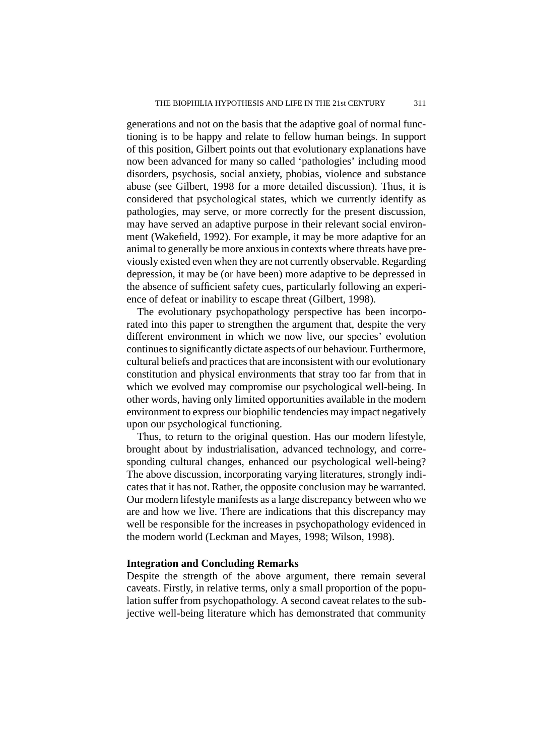generations and not on the basis that the adaptive goal of normal functioning is to be happy and relate to fellow human beings. In support of this position, Gilbert points out that evolutionary explanations have now been advanced for many so called 'pathologies' including mood disorders, psychosis, social anxiety, phobias, violence and substance abuse (see Gilbert, 1998 for a more detailed discussion). Thus, it is considered that psychological states, which we currently identify as pathologies, may serve, or more correctly for the present discussion, may have served an adaptive purpose in their relevant social environment (Wakefield, 1992). For example, it may be more adaptive for an animal to generally be more anxious in contexts where threats have previously existed even when they are not currently observable. Regarding depression, it may be (or have been) more adaptive to be depressed in the absence of sufficient safety cues, particularly following an experience of defeat or inability to escape threat (Gilbert, 1998).

The evolutionary psychopathology perspective has been incorporated into this paper to strengthen the argument that, despite the very different environment in which we now live, our species' evolution continues to significantly dictate aspects of our behaviour. Furthermore, cultural beliefs and practices that are inconsistent with our evolutionary constitution and physical environments that stray too far from that in which we evolved may compromise our psychological well-being. In other words, having only limited opportunities available in the modern environment to express our biophilic tendencies may impact negatively upon our psychological functioning.

Thus, to return to the original question. Has our modern lifestyle, brought about by industrialisation, advanced technology, and corresponding cultural changes, enhanced our psychological well-being? The above discussion, incorporating varying literatures, strongly indicates that it has not. Rather, the opposite conclusion may be warranted. Our modern lifestyle manifests as a large discrepancy between who we are and how we live. There are indications that this discrepancy may well be responsible for the increases in psychopathology evidenced in the modern world (Leckman and Mayes, 1998; Wilson, 1998).

## **Integration and Concluding Remarks**

Despite the strength of the above argument, there remain several caveats. Firstly, in relative terms, only a small proportion of the population suffer from psychopathology. A second caveat relates to the subjective well-being literature which has demonstrated that community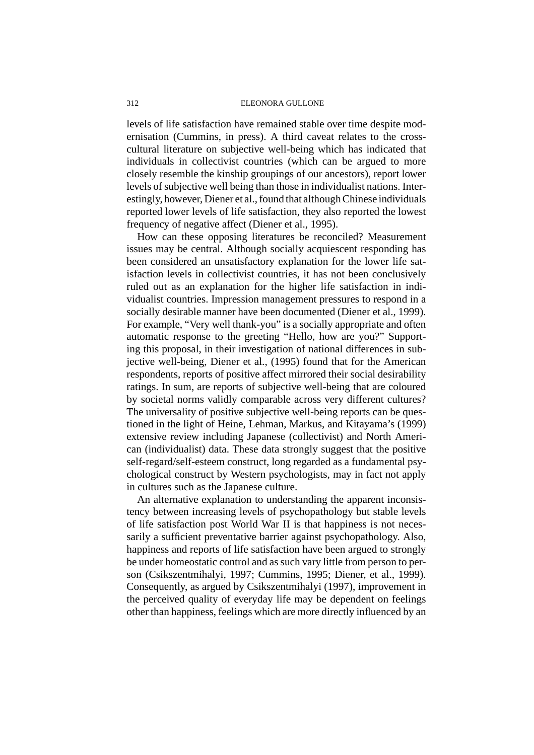levels of life satisfaction have remained stable over time despite modernisation (Cummins, in press). A third caveat relates to the crosscultural literature on subjective well-being which has indicated that individuals in collectivist countries (which can be argued to more closely resemble the kinship groupings of our ancestors), report lower levels of subjective well being than those in individualist nations. Interestingly, however, Diener et al., found that although Chinese individuals reported lower levels of life satisfaction, they also reported the lowest frequency of negative affect (Diener et al., 1995).

How can these opposing literatures be reconciled? Measurement issues may be central. Although socially acquiescent responding has been considered an unsatisfactory explanation for the lower life satisfaction levels in collectivist countries, it has not been conclusively ruled out as an explanation for the higher life satisfaction in individualist countries. Impression management pressures to respond in a socially desirable manner have been documented (Diener et al., 1999). For example, "Very well thank-you" is a socially appropriate and often automatic response to the greeting "Hello, how are you?" Supporting this proposal, in their investigation of national differences in subjective well-being, Diener et al., (1995) found that for the American respondents, reports of positive affect mirrored their social desirability ratings. In sum, are reports of subjective well-being that are coloured by societal norms validly comparable across very different cultures? The universality of positive subjective well-being reports can be questioned in the light of Heine, Lehman, Markus, and Kitayama's (1999) extensive review including Japanese (collectivist) and North American (individualist) data. These data strongly suggest that the positive self-regard/self-esteem construct, long regarded as a fundamental psychological construct by Western psychologists, may in fact not apply in cultures such as the Japanese culture.

An alternative explanation to understanding the apparent inconsistency between increasing levels of psychopathology but stable levels of life satisfaction post World War II is that happiness is not necessarily a sufficient preventative barrier against psychopathology. Also, happiness and reports of life satisfaction have been argued to strongly be under homeostatic control and as such vary little from person to person (Csikszentmihalyi, 1997; Cummins, 1995; Diener, et al., 1999). Consequently, as argued by Csikszentmihalyi (1997), improvement in the perceived quality of everyday life may be dependent on feelings other than happiness, feelings which are more directly influenced by an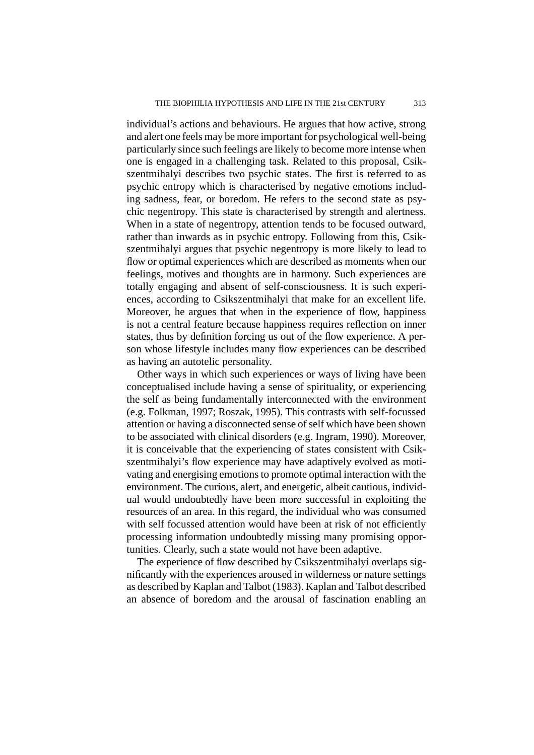individual's actions and behaviours. He argues that how active, strong and alert one feels may be more important for psychological well-being particularly since such feelings are likely to become more intense when one is engaged in a challenging task. Related to this proposal, Csikszentmihalyi describes two psychic states. The first is referred to as psychic entropy which is characterised by negative emotions including sadness, fear, or boredom. He refers to the second state as psychic negentropy. This state is characterised by strength and alertness. When in a state of negentropy, attention tends to be focused outward, rather than inwards as in psychic entropy. Following from this, Csikszentmihalyi argues that psychic negentropy is more likely to lead to flow or optimal experiences which are described as moments when our feelings, motives and thoughts are in harmony. Such experiences are totally engaging and absent of self-consciousness. It is such experiences, according to Csikszentmihalyi that make for an excellent life. Moreover, he argues that when in the experience of flow, happiness is not a central feature because happiness requires reflection on inner states, thus by definition forcing us out of the flow experience. A person whose lifestyle includes many flow experiences can be described as having an autotelic personality.

Other ways in which such experiences or ways of living have been conceptualised include having a sense of spirituality, or experiencing the self as being fundamentally interconnected with the environment (e.g. Folkman, 1997; Roszak, 1995). This contrasts with self-focussed attention or having a disconnected sense of self which have been shown to be associated with clinical disorders (e.g. Ingram, 1990). Moreover, it is conceivable that the experiencing of states consistent with Csikszentmihalyi's flow experience may have adaptively evolved as motivating and energising emotions to promote optimal interaction with the environment. The curious, alert, and energetic, albeit cautious, individual would undoubtedly have been more successful in exploiting the resources of an area. In this regard, the individual who was consumed with self focussed attention would have been at risk of not efficiently processing information undoubtedly missing many promising opportunities. Clearly, such a state would not have been adaptive.

The experience of flow described by Csikszentmihalyi overlaps significantly with the experiences aroused in wilderness or nature settings as described by Kaplan and Talbot (1983). Kaplan and Talbot described an absence of boredom and the arousal of fascination enabling an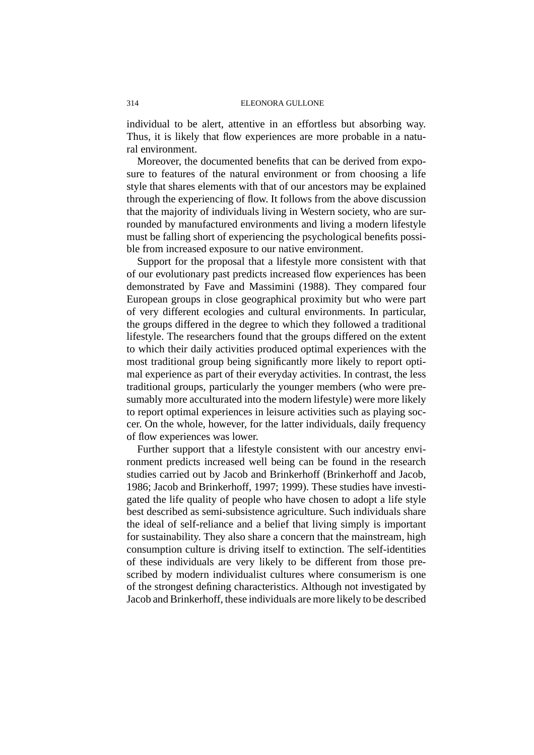individual to be alert, attentive in an effortless but absorbing way. Thus, it is likely that flow experiences are more probable in a natural environment.

Moreover, the documented benefits that can be derived from exposure to features of the natural environment or from choosing a life style that shares elements with that of our ancestors may be explained through the experiencing of flow. It follows from the above discussion that the majority of individuals living in Western society, who are surrounded by manufactured environments and living a modern lifestyle must be falling short of experiencing the psychological benefits possible from increased exposure to our native environment.

Support for the proposal that a lifestyle more consistent with that of our evolutionary past predicts increased flow experiences has been demonstrated by Fave and Massimini (1988). They compared four European groups in close geographical proximity but who were part of very different ecologies and cultural environments. In particular, the groups differed in the degree to which they followed a traditional lifestyle. The researchers found that the groups differed on the extent to which their daily activities produced optimal experiences with the most traditional group being significantly more likely to report optimal experience as part of their everyday activities. In contrast, the less traditional groups, particularly the younger members (who were presumably more acculturated into the modern lifestyle) were more likely to report optimal experiences in leisure activities such as playing soccer. On the whole, however, for the latter individuals, daily frequency of flow experiences was lower.

Further support that a lifestyle consistent with our ancestry environment predicts increased well being can be found in the research studies carried out by Jacob and Brinkerhoff (Brinkerhoff and Jacob, 1986; Jacob and Brinkerhoff, 1997; 1999). These studies have investigated the life quality of people who have chosen to adopt a life style best described as semi-subsistence agriculture. Such individuals share the ideal of self-reliance and a belief that living simply is important for sustainability. They also share a concern that the mainstream, high consumption culture is driving itself to extinction. The self-identities of these individuals are very likely to be different from those prescribed by modern individualist cultures where consumerism is one of the strongest defining characteristics. Although not investigated by Jacob and Brinkerhoff, these individuals are more likely to be described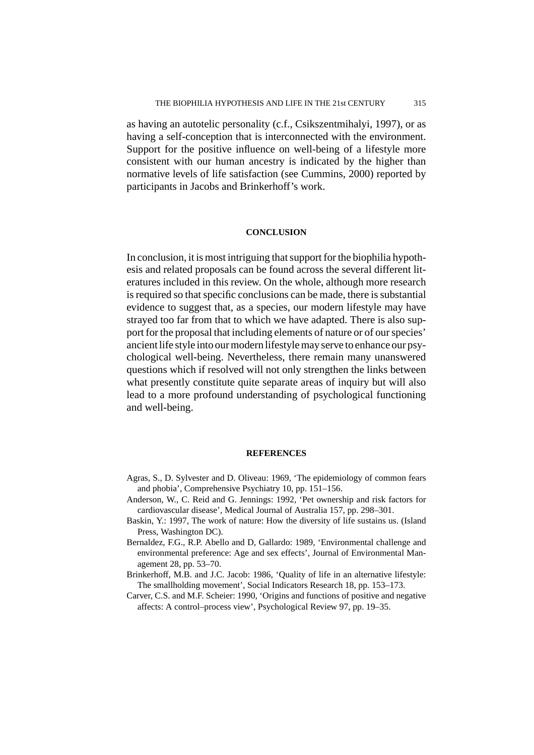as having an autotelic personality (c.f., Csikszentmihalyi, 1997), or as having a self-conception that is interconnected with the environment. Support for the positive influence on well-being of a lifestyle more consistent with our human ancestry is indicated by the higher than normative levels of life satisfaction (see Cummins, 2000) reported by participants in Jacobs and Brinkerhoff's work.

## **CONCLUSION**

In conclusion, it is most intriguing that support for the biophilia hypothesis and related proposals can be found across the several different literatures included in this review. On the whole, although more research is required so that specific conclusions can be made, there is substantial evidence to suggest that, as a species, our modern lifestyle may have strayed too far from that to which we have adapted. There is also support for the proposal that including elements of nature or of our species' ancient life style into our modern lifestyle may serve to enhance our psychological well-being. Nevertheless, there remain many unanswered questions which if resolved will not only strengthen the links between what presently constitute quite separate areas of inquiry but will also lead to a more profound understanding of psychological functioning and well-being.

#### **REFERENCES**

- Agras, S., D. Sylvester and D. Oliveau: 1969, 'The epidemiology of common fears and phobia', Comprehensive Psychiatry 10, pp. 151–156.
- Anderson, W., C. Reid and G. Jennings: 1992, 'Pet ownership and risk factors for cardiovascular disease', Medical Journal of Australia 157, pp. 298–301.
- Baskin, Y.: 1997, The work of nature: How the diversity of life sustains us. (Island Press, Washington DC).
- Bernaldez, F.G., R.P. Abello and D, Gallardo: 1989, 'Environmental challenge and environmental preference: Age and sex effects', Journal of Environmental Management 28, pp. 53–70.
- Brinkerhoff, M.B. and J.C. Jacob: 1986, 'Quality of life in an alternative lifestyle: The smallholding movement', Social Indicators Research 18, pp. 153–173.
- Carver, C.S. and M.F. Scheier: 1990, 'Origins and functions of positive and negative affects: A control–process view', Psychological Review 97, pp. 19–35.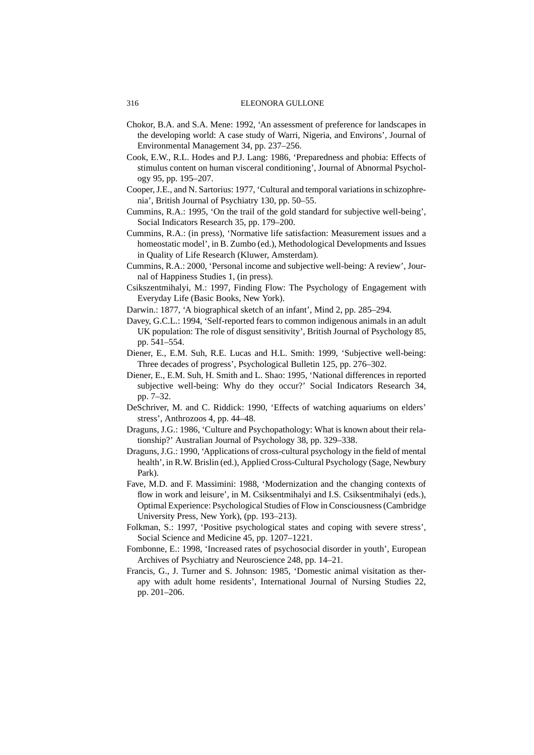- Chokor, B.A. and S.A. Mene: 1992, 'An assessment of preference for landscapes in the developing world: A case study of Warri, Nigeria, and Environs', Journal of Environmental Management 34, pp. 237–256.
- Cook, E.W., R.L. Hodes and P.J. Lang: 1986, 'Preparedness and phobia: Effects of stimulus content on human visceral conditioning', Journal of Abnormal Psychology 95, pp. 195–207.
- Cooper, J.E., and N. Sartorius: 1977, 'Cultural and temporal variations in schizophrenia', British Journal of Psychiatry 130, pp. 50–55.
- Cummins, R.A.: 1995, 'On the trail of the gold standard for subjective well-being', Social Indicators Research 35, pp. 179–200.
- Cummins, R.A.: (in press), 'Normative life satisfaction: Measurement issues and a homeostatic model', in B. Zumbo (ed.), Methodological Developments and Issues in Quality of Life Research (Kluwer, Amsterdam).
- Cummins, R.A.: 2000, 'Personal income and subjective well-being: A review', Journal of Happiness Studies 1, (in press).
- Csikszentmihalyi, M.: 1997, Finding Flow: The Psychology of Engagement with Everyday Life (Basic Books, New York).
- Darwin.: 1877, 'A biographical sketch of an infant', Mind 2, pp. 285–294.
- Davey, G.C.L.: 1994, 'Self-reported fears to common indigenous animals in an adult UK population: The role of disgust sensitivity', British Journal of Psychology 85, pp. 541–554.
- Diener, E., E.M. Suh, R.E. Lucas and H.L. Smith: 1999, 'Subjective well-being: Three decades of progress', Psychological Bulletin 125, pp. 276–302.
- Diener, E., E.M. Suh, H. Smith and L. Shao: 1995, 'National differences in reported subjective well-being: Why do they occur?' Social Indicators Research 34, pp. 7–32.
- DeSchriver, M. and C. Riddick: 1990, 'Effects of watching aquariums on elders' stress', Anthrozoos 4, pp. 44–48.
- Draguns, J.G.: 1986, 'Culture and Psychopathology: What is known about their relationship?' Australian Journal of Psychology 38, pp. 329–338.
- Draguns, J.G.: 1990, 'Applications of cross-cultural psychology in the field of mental health', in R.W. Brislin (ed.), Applied Cross-Cultural Psychology (Sage, Newbury Park).
- Fave, M.D. and F. Massimini: 1988, 'Modernization and the changing contexts of flow in work and leisure', in M. Csiksentmihalyi and I.S. Csiksentmihalyi (eds.), Optimal Experience: Psychological Studies of Flow in Consciousness (Cambridge University Press, New York), (pp. 193–213).
- Folkman, S.: 1997, 'Positive psychological states and coping with severe stress', Social Science and Medicine 45, pp. 1207–1221.
- Fombonne, E.: 1998, 'Increased rates of psychosocial disorder in youth', European Archives of Psychiatry and Neuroscience 248, pp. 14–21.
- Francis, G., J. Turner and S. Johnson: 1985, 'Domestic animal visitation as therapy with adult home residents', International Journal of Nursing Studies 22, pp. 201–206.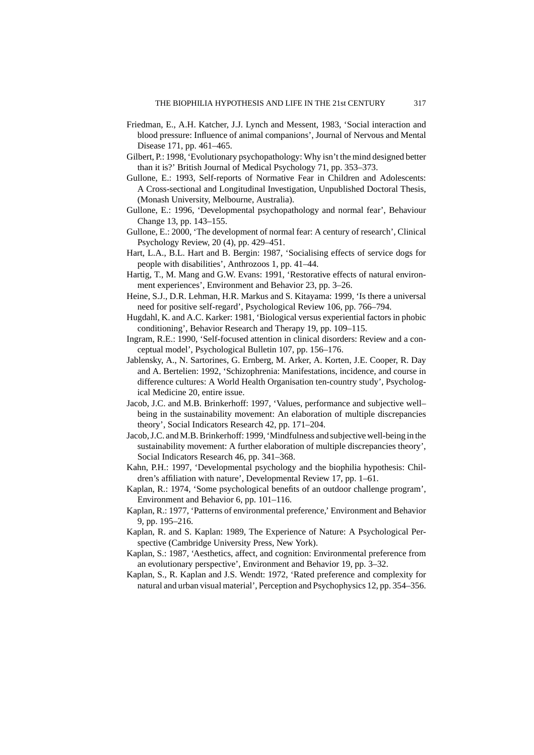- Friedman, E., A.H. Katcher, J.J. Lynch and Messent, 1983, 'Social interaction and blood pressure: Influence of animal companions', Journal of Nervous and Mental Disease 171, pp. 461–465.
- Gilbert, P.: 1998, 'Evolutionary psychopathology: Why isn't the mind designed better than it is?' British Journal of Medical Psychology 71, pp. 353–373.
- Gullone, E.: 1993, Self-reports of Normative Fear in Children and Adolescents: A Cross-sectional and Longitudinal Investigation, Unpublished Doctoral Thesis, (Monash University, Melbourne, Australia).
- Gullone, E.: 1996, 'Developmental psychopathology and normal fear', Behaviour Change 13, pp. 143–155.
- Gullone, E.: 2000, 'The development of normal fear: A century of research', Clinical Psychology Review, 20 (4), pp. 429–451.
- Hart, L.A., B.L. Hart and B. Bergin: 1987, 'Socialising effects of service dogs for people with disabilities', Anthrozoos 1, pp. 41–44.
- Hartig, T., M. Mang and G.W. Evans: 1991, 'Restorative effects of natural environment experiences', Environment and Behavior 23, pp. 3–26.
- Heine, S.J., D.R. Lehman, H.R. Markus and S. Kitayama: 1999, 'Is there a universal need for positive self-regard', Psychological Review 106, pp. 766–794.
- Hugdahl, K. and A.C. Karker: 1981, 'Biological versus experiential factors in phobic conditioning', Behavior Research and Therapy 19, pp. 109–115.
- Ingram, R.E.: 1990, 'Self-focused attention in clinical disorders: Review and a conceptual model', Psychological Bulletin 107, pp. 156–176.
- Jablensky, A., N. Sartorines, G. Ernberg, M. Arker, A. Korten, J.E. Cooper, R. Day and A. Bertelien: 1992, 'Schizophrenia: Manifestations, incidence, and course in difference cultures: A World Health Organisation ten-country study', Psychological Medicine 20, entire issue.
- Jacob, J.C. and M.B. Brinkerhoff: 1997, 'Values, performance and subjective well– being in the sustainability movement: An elaboration of multiple discrepancies theory', Social Indicators Research 42, pp. 171–204.
- Jacob, J.C. and M.B. Brinkerhoff: 1999, 'Mindfulness and subjective well-being in the sustainability movement: A further elaboration of multiple discrepancies theory', Social Indicators Research 46, pp. 341–368.
- Kahn, P.H.: 1997, 'Developmental psychology and the biophilia hypothesis: Children's affiliation with nature', Developmental Review 17, pp. 1–61.
- Kaplan, R.: 1974, 'Some psychological benefits of an outdoor challenge program', Environment and Behavior 6, pp. 101–116.
- Kaplan, R.: 1977, 'Patterns of environmental preference,' Environment and Behavior 9, pp. 195–216.
- Kaplan, R. and S. Kaplan: 1989, The Experience of Nature: A Psychological Perspective (Cambridge University Press, New York).
- Kaplan, S.: 1987, 'Aesthetics, affect, and cognition: Environmental preference from an evolutionary perspective', Environment and Behavior 19, pp. 3–32.
- Kaplan, S., R. Kaplan and J.S. Wendt: 1972, 'Rated preference and complexity for natural and urban visual material', Perception and Psychophysics 12, pp. 354–356.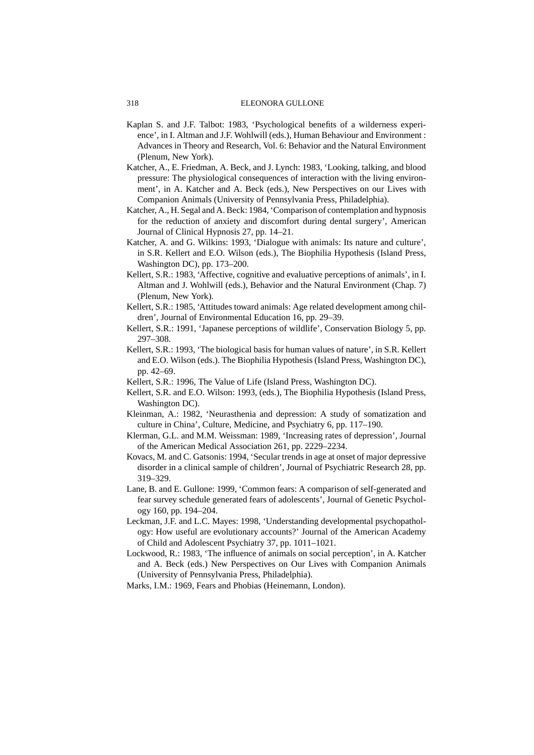- Kaplan S. and J.F. Talbot: 1983, 'Psychological benefits of a wilderness experience', in I. Altman and J.F. Wohlwill (eds.), Human Behaviour and Environment : Advances in Theory and Research, Vol. 6: Behavior and the Natural Environment (Plenum, New York).
- Katcher, A., E. Friedman, A. Beck, and J. Lynch: 1983, 'Looking, talking, and blood pressure: The physiological consequences of interaction with the living environment', in A. Katcher and A. Beck (eds.), New Perspectives on our Lives with Companion Animals (University of Pennsylvania Press, Philadelphia).
- Katcher, A., H. Segal and A. Beck: 1984, 'Comparison of contemplation and hypnosis for the reduction of anxiety and discomfort during dental surgery', American Journal of Clinical Hypnosis 27, pp. 14–21.
- Katcher, A. and G. Wilkins: 1993, 'Dialogue with animals: Its nature and culture', in S.R. Kellert and E.O. Wilson (eds.), The Biophilia Hypothesis (Island Press, Washington DC), pp. 173–200.
- Kellert, S.R.: 1983, 'Affective, cognitive and evaluative perceptions of animals', in I. Altman and J. Wohlwill (eds.), Behavior and the Natural Environment (Chap. 7) (Plenum, New York).
- Kellert, S.R.: 1985, 'Attitudes toward animals: Age related development among children', Journal of Environmental Education 16, pp. 29–39.
- Kellert, S.R.: 1991, 'Japanese perceptions of wildlife', Conservation Biology 5, pp. 297–308.
- Kellert, S.R.: 1993, 'The biological basis for human values of nature', in S.R. Kellert and E.O. Wilson (eds.). The Biophilia Hypothesis (Island Press, Washington DC), pp. 42–69.
- Kellert, S.R.: 1996, The Value of Life (Island Press, Washington DC).
- Kellert, S.R. and E.O. Wilson: 1993, (eds.), The Biophilia Hypothesis (Island Press, Washington DC).
- Kleinman, A.: 1982, 'Neurasthenia and depression: A study of somatization and culture in China', Culture, Medicine, and Psychiatry 6, pp. 117–190.
- Klerman, G.L. and M.M. Weissman: 1989, 'Increasing rates of depression', Journal of the American Medical Association 261, pp. 2229–2234.
- Kovacs, M. and C. Gatsonis: 1994, 'Secular trends in age at onset of major depressive disorder in a clinical sample of children', Journal of Psychiatric Research 28, pp. 319–329.
- Lane, B. and E. Gullone: 1999, 'Common fears: A comparison of self-generated and fear survey schedule generated fears of adolescents', Journal of Genetic Psychology 160, pp. 194–204.
- Leckman, J.F. and L.C. Mayes: 1998, 'Understanding developmental psychopathology: How useful are evolutionary accounts?' Journal of the American Academy of Child and Adolescent Psychiatry 37, pp. 1011–1021.
- Lockwood, R.: 1983, 'The influence of animals on social perception', in A. Katcher and A. Beck (eds.) New Perspectives on Our Lives with Companion Animals (University of Pennsylvania Press, Philadelphia).
- Marks, I.M.: 1969, Fears and Phobias (Heinemann, London).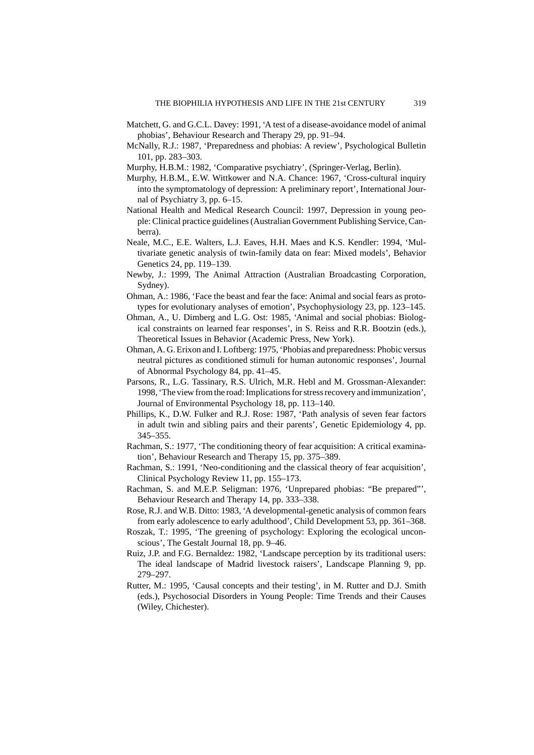- Matchett, G. and G.C.L. Davey: 1991, 'A test of a disease-avoidance model of animal phobias', Behaviour Research and Therapy 29, pp. 91–94.
- McNally, R.J.: 1987, 'Preparedness and phobias: A review', Psychological Bulletin 101, pp. 283–303.
- Murphy, H.B.M.: 1982, 'Comparative psychiatry', (Springer-Verlag, Berlin).
- Murphy, H.B.M., E.W. Wittkower and N.A. Chance: 1967, 'Cross-cultural inquiry into the symptomatology of depression: A preliminary report', International Journal of Psychiatry 3, pp. 6–15.
- National Health and Medical Research Council: 1997, Depression in young people: Clinical practice guidelines (Australian Government Publishing Service, Canberra).
- Neale, M.C., E.E. Walters, L.J. Eaves, H.H. Maes and K.S. Kendler: 1994, 'Multivariate genetic analysis of twin-family data on fear: Mixed models', Behavior Genetics 24, pp. 119–139.
- Newby, J.: 1999, The Animal Attraction (Australian Broadcasting Corporation, Sydney).
- Ohman, A.: 1986, 'Face the beast and fear the face: Animal and social fears as prototypes for evolutionary analyses of emotion', Psychophysiology 23, pp. 123–145.
- Ohman, A., U. Dimberg and L.G. Ost: 1985, 'Animal and social phobias: Biological constraints on learned fear responses', in S. Reiss and R.R. Bootzin (eds.), Theoretical Issues in Behavior (Academic Press, New York).
- Ohman, A. G. Erixon and I. Loftberg: 1975, 'Phobias and preparedness: Phobic versus neutral pictures as conditioned stimuli for human autonomic responses', Journal of Abnormal Psychology 84, pp. 41–45.
- Parsons, R., L.G. Tassinary, R.S. Ulrich, M.R. Hebl and M. Grossman-Alexander: 1998, 'The view from the road: Implications for stress recovery and immunization', Journal of Environmental Psychology 18, pp. 113–140.
- Phillips, K., D.W. Fulker and R.J. Rose: 1987, 'Path analysis of seven fear factors in adult twin and sibling pairs and their parents', Genetic Epidemiology 4, pp. 345–355.
- Rachman, S.: 1977, 'The conditioning theory of fear acquisition: A critical examination', Behaviour Research and Therapy 15, pp. 375–389.
- Rachman, S.: 1991, 'Neo-conditioning and the classical theory of fear acquisition', Clinical Psychology Review 11, pp. 155–173.
- Rachman, S. and M.E.P. Seligman: 1976, 'Unprepared phobias: "Be prepared"', Behaviour Research and Therapy 14, pp. 333–338.
- Rose, R.J. and W.B. Ditto: 1983, 'A developmental-genetic analysis of common fears from early adolescence to early adulthood', Child Development 53, pp. 361–368.
- Roszak, T.: 1995, 'The greening of psychology: Exploring the ecological unconscious', The Gestalt Journal 18, pp. 9–46.
- Ruiz, J.P. and F.G. Bernaldez: 1982, 'Landscape perception by its traditional users: The ideal landscape of Madrid livestock raisers', Landscape Planning 9, pp. 279–297.
- Rutter, M.: 1995, 'Causal concepts and their testing', in M. Rutter and D.J. Smith (eds.), Psychosocial Disorders in Young People: Time Trends and their Causes (Wiley, Chichester).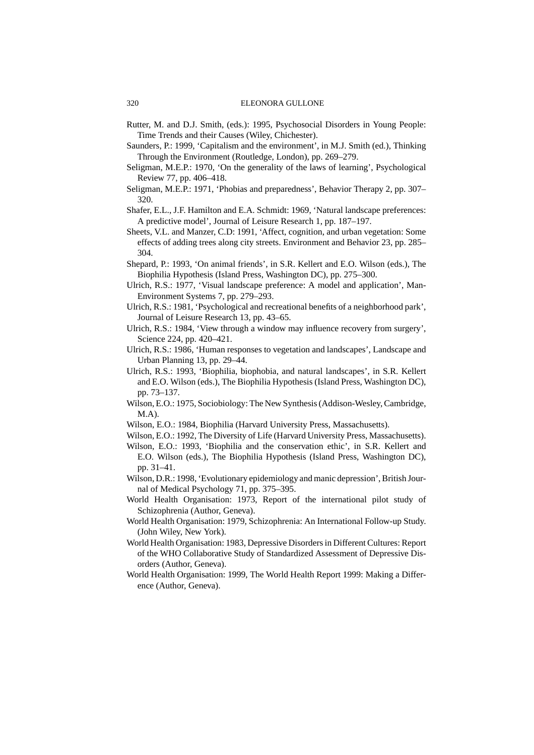- Rutter, M. and D.J. Smith, (eds.): 1995, Psychosocial Disorders in Young People: Time Trends and their Causes (Wiley, Chichester).
- Saunders, P.: 1999, 'Capitalism and the environment', in M.J. Smith (ed.), Thinking Through the Environment (Routledge, London), pp. 269–279.
- Seligman, M.E.P.: 1970, 'On the generality of the laws of learning', Psychological Review 77, pp. 406–418.
- Seligman, M.E.P.: 1971, 'Phobias and preparedness', Behavior Therapy 2, pp. 307– 320.
- Shafer, E.L., J.F. Hamilton and E.A. Schmidt: 1969, 'Natural landscape preferences: A predictive model', Journal of Leisure Research 1, pp. 187–197.
- Sheets, V.L. and Manzer, C.D: 1991, 'Affect, cognition, and urban vegetation: Some effects of adding trees along city streets. Environment and Behavior 23, pp. 285– 304.
- Shepard, P.: 1993, 'On animal friends', in S.R. Kellert and E.O. Wilson (eds.), The Biophilia Hypothesis (Island Press, Washington DC), pp. 275–300.
- Ulrich, R.S.: 1977, 'Visual landscape preference: A model and application', Man-Environment Systems 7, pp. 279–293.
- Ulrich, R.S.: 1981, 'Psychological and recreational benefits of a neighborhood park', Journal of Leisure Research 13, pp. 43–65.
- Ulrich, R.S.: 1984, 'View through a window may influence recovery from surgery', Science 224, pp. 420–421.
- Ulrich, R.S.: 1986, 'Human responses to vegetation and landscapes', Landscape and Urban Planning 13, pp. 29–44.
- Ulrich, R.S.: 1993, 'Biophilia, biophobia, and natural landscapes', in S.R. Kellert and E.O. Wilson (eds.), The Biophilia Hypothesis (Island Press, Washington DC), pp. 73–137.
- Wilson, E.O.: 1975, Sociobiology: The New Synthesis (Addison-Wesley, Cambridge, M.A).
- Wilson, E.O.: 1984, Biophilia (Harvard University Press, Massachusetts).
- Wilson, E.O.: 1992, The Diversity of Life (Harvard University Press, Massachusetts).
- Wilson, E.O.: 1993, 'Biophilia and the conservation ethic', in S.R. Kellert and E.O. Wilson (eds.), The Biophilia Hypothesis (Island Press, Washington DC), pp. 31–41.
- Wilson, D.R.: 1998, 'Evolutionary epidemiology and manic depression', British Journal of Medical Psychology 71, pp. 375–395.
- World Health Organisation: 1973, Report of the international pilot study of Schizophrenia (Author, Geneva).
- World Health Organisation: 1979, Schizophrenia: An International Follow-up Study. (John Wiley, New York).
- World Health Organisation: 1983, Depressive Disorders in Different Cultures: Report of the WHO Collaborative Study of Standardized Assessment of Depressive Disorders (Author, Geneva).
- World Health Organisation: 1999, The World Health Report 1999: Making a Difference (Author, Geneva).